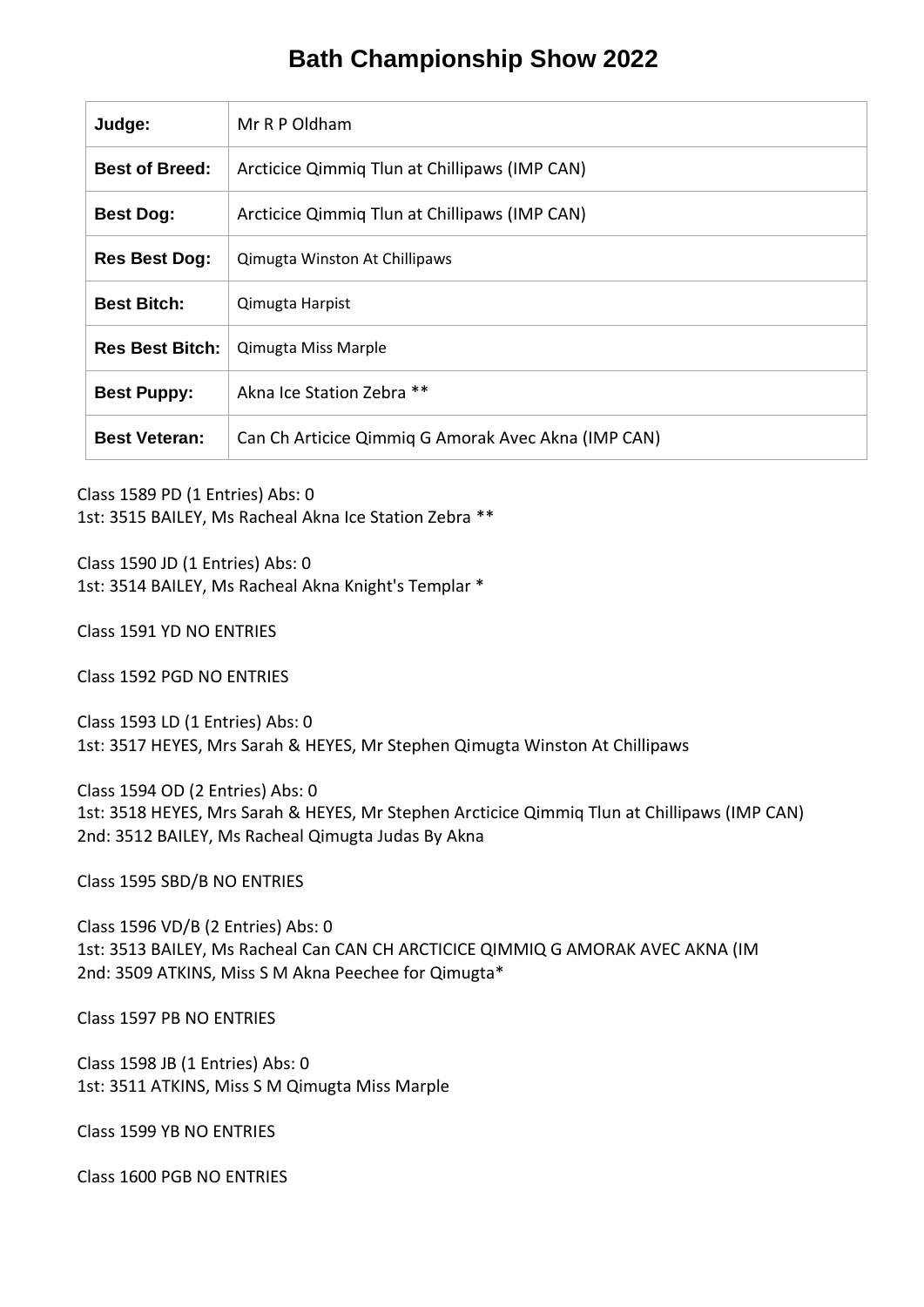## **Bath Championship Show 2022**

| Mr R P Oldham                                       |  |
|-----------------------------------------------------|--|
| Arcticice Qimmiq Tlun at Chillipaws (IMP CAN)       |  |
| Arcticice Qimmiq Tlun at Chillipaws (IMP CAN)       |  |
| Qimugta Winston At Chillipaws                       |  |
| Qimugta Harpist                                     |  |
| Qimugta Miss Marple                                 |  |
| Akna Ice Station Zebra **                           |  |
| Can Ch Articice Qimmiq G Amorak Avec Akna (IMP CAN) |  |
|                                                     |  |

Class 1589 PD (1 Entries) Abs: 0

1st: 3515 BAILEY, Ms Racheal Akna Ice Station Zebra \*\*

Class 1590 JD (1 Entries) Abs: 0 1st: 3514 BAILEY, Ms Racheal Akna Knight's Templar \*

Class 1591 YD NO ENTRIES

Class 1592 PGD NO ENTRIES

Class 1593 LD (1 Entries) Abs: 0 1st: 3517 HEYES, Mrs Sarah & HEYES, Mr Stephen Qimugta Winston At Chillipaws

Class 1594 OD (2 Entries) Abs: 0 1st: 3518 HEYES, Mrs Sarah & HEYES, Mr Stephen Arcticice Qimmiq Tlun at Chillipaws (IMP CAN) 2nd: 3512 BAILEY, Ms Racheal Qimugta Judas By Akna

Class 1595 SBD/B NO ENTRIES

Class 1596 VD/B (2 Entries) Abs: 0 1st: 3513 BAILEY, Ms Racheal Can CAN CH ARCTICICE QIMMIQ G AMORAK AVEC AKNA (IM 2nd: 3509 ATKINS, Miss S M Akna Peechee for Qimugta\*

Class 1597 PB NO ENTRIES

Class 1598 JB (1 Entries) Abs: 0 1st: 3511 ATKINS, Miss S M Qimugta Miss Marple

Class 1599 YB NO ENTRIES

Class 1600 PGB NO ENTRIES